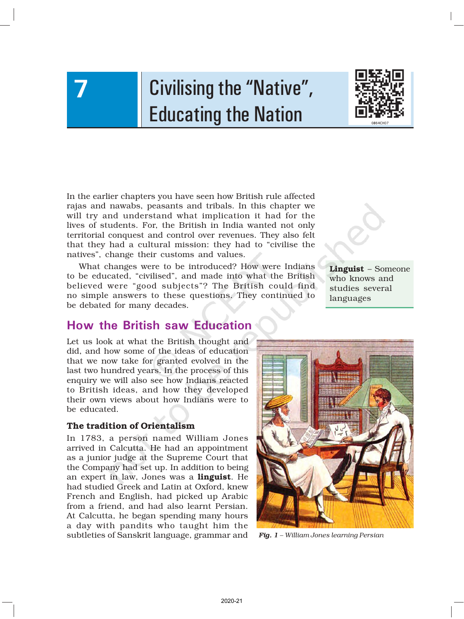# Civilising the "Native", Educating the Nation



In the earlier chapters you have seen how British rule affected rajas and nawabs, peasants and tribals. In this chapter we will try and understand what implication it had for the lives of students. For, the British in India wanted not only territorial conquest and control over revenues. They also felt that they had a cultural mission: they had to "civilise the natives", change their customs and values.

What changes were to be introduced? How were Indians to be educated, "civilised", and made into what the British believed were "good subjects"? The British could find no simple answers to these questions. They continued to be debated for many decades.

# How the British saw Education

Let us look at what the British thought and did, and how some of the ideas of education that we now take for granted evolved in the last two hundred years. In the process of this enquiry we will also see how Indians reacted to British ideas, and how they developed their own views about how Indians were to be educated.

### The tradition of Orientalism

7

In 1783, a person named William Jones arrived in Calcutta. He had an appointment as a junior judge at the Supreme Court that the Company had set up. In addition to being an expert in law, Jones was a linguist. He had studied Greek and Latin at Oxford, knew French and English, had picked up Arabic from a friend, and had also learnt Persian. At Calcutta, he began spending many hours a day with pandits who taught him the subtleties of Sanskrit language, grammar and *Fig. 1 – William Jones learning Persian*

Linguist – Someone who knows and studies several languages

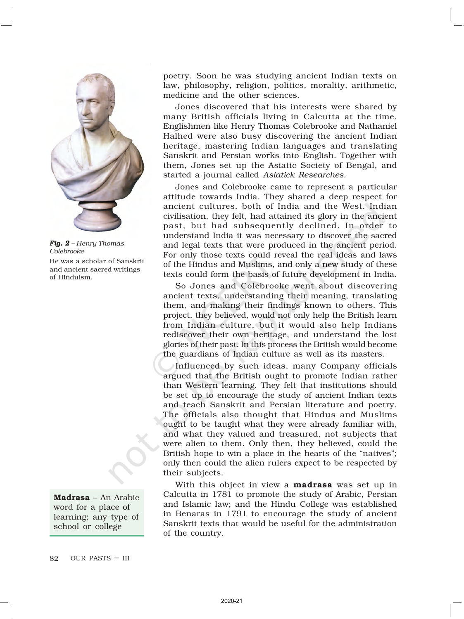

*Fig. 2 – Henry Thomas Colebrooke* He was a scholar of Sanskrit and ancient sacred writings of Hinduism.



word for a place of learning; any type of school or college

poetry. Soon he was studying ancient Indian texts on law, philosophy, religion, politics, morality, arithmetic, medicine and the other sciences.

Jones discovered that his interests were shared by many British officials living in Calcutta at the time. Englishmen like Henry Thomas Colebrooke and Nathaniel Halhed were also busy discovering the ancient Indian heritage, mastering Indian languages and translating Sanskrit and Persian works into English. Together with them, Jones set up the Asiatic Society of Bengal, and started a journal called *Asiatick Researches.*

Jones and Colebrooke came to represent a particular attitude towards India. They shared a deep respect for ancient cultures, both of India and the West. Indian civilisation, they felt, had attained its glory in the ancient past, but had subsequently declined. In order to understand India it was necessary to discover the sacred and legal texts that were produced in the ancient period. For only those texts could reveal the real ideas and laws of the Hindus and Muslims, and only a new study of these texts could form the basis of future development in India.

So Jones and Colebrooke went about discovering ancient texts, understanding their meaning, translating them, and making their findings known to others. This project, they believed, would not only help the British learn from Indian culture, but it would also help Indians rediscover their own heritage, and understand the lost glories of their past. In this process the British would become the guardians of Indian culture as well as its masters.

Influenced by such ideas, many Company officials argued that the British ought to promote Indian rather than Western learning. They felt that institutions should be set up to encourage the study of ancient Indian texts and teach Sanskrit and Persian literature and poetry. The officials also thought that Hindus and Muslims ought to be taught what they were already familiar with, and what they valued and treasured, not subjects that were alien to them. Only then, they believed, could the British hope to win a place in the hearts of the "natives"; only then could the alien rulers expect to be respected by their subjects.

With this object in view a **madrasa** was set up in Calcutta in 1781 to promote the study of Arabic, Persian and Islamic law; and the Hindu College was established in Benaras in 1791 to encourage the study of ancient Sanskrit texts that would be useful for the administration of the country.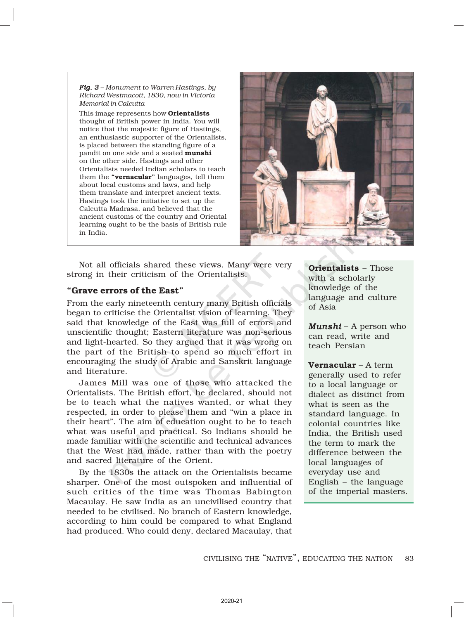*Fig. 3 – Monument to Warren Hastings, by Richard Westmacott, 1830, now in Victoria Memorial in Calcutta*

This image represents how **Orientalists** thought of British power in India. You will notice that the majestic figure of Hastings, an enthusiastic supporter of the Orientalists, is placed between the standing figure of a pandit on one side and a seated munshi on the other side. Hastings and other Orientalists needed Indian scholars to teach them the "vernacular" languages, tell them about local customs and laws, and help them translate and interpret ancient texts. Hastings took the initiative to set up the Calcutta Madrasa, and believed that the ancient customs of the country and Oriental learning ought to be the basis of British rule in India.



Not all officials shared these views. Many were very strong in their criticism of the Orientalists.

### "Grave errors of the East"

From the early nineteenth century many British officials began to criticise the Orientalist vision of learning. They said that knowledge of the East was full of errors and unscientific thought; Eastern literature was non-serious and light-hearted. So they argued that it was wrong on the part of the British to spend so much effort in encouraging the study of Arabic and Sanskrit language and literature.

James Mill was one of those who attacked the Orientalists. The British effort, he declared, should not be to teach what the natives wanted, or what they respected, in order to please them and "win a place in their heart". The aim of education ought to be to teach what was useful and practical. So Indians should be made familiar with the scientific and technical advances that the West had made, rather than with the poetry and sacred literature of the Orient.

By the 1830s the attack on the Orientalists became sharper. One of the most outspoken and influential of such critics of the time was Thomas Babington Macaulay. He saw India as an uncivilised country that needed to be civilised. No branch of Eastern knowledge, according to him could be compared to what England had produced. Who could deny, declared Macaulay, that

Orientalists – Those with a scholarly knowledge of the language and culture of Asia

*Munshi* – A person who can read, write and teach Persian

Vernacular – A term generally used to refer to a local language or dialect as distinct from what is seen as the standard language. In colonial countries like India, the British used the term to mark the difference between the local languages of everyday use and English – the language of the imperial masters.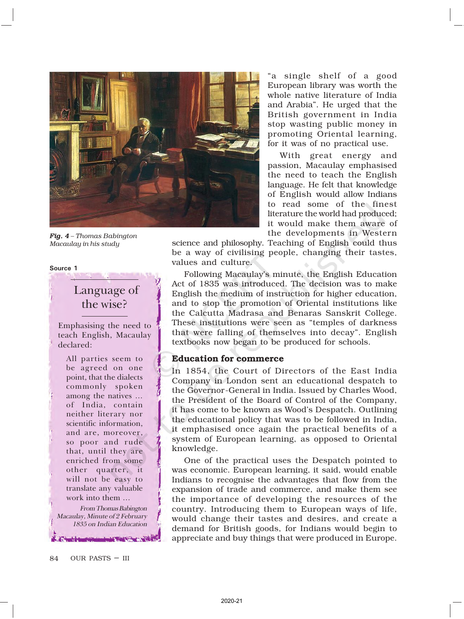

*Fig. 4 – Thomas Babington Macaulay in his study*

#### Source 1

# Language of the wise?

Emphasising the need to teach English, Macaulay declared:

All parties seem to be agreed on one point, that the dialects commonly spoken among the natives … of India, contain neither literary nor scientific information, and are, moreover, so poor and rude that, until they are enriched from some other quarter, it will not be easy to translate any valuable work into them …

From Thomas Babington Macaulay, Minute of 2 February 1835 on Indian Education

"a single shelf of a good European library was worth the whole native literature of India and Arabia". He urged that the British government in India stop wasting public money in promoting Oriental learning, for it was of no practical use.

With great energy and passion, Macaulay emphasised the need to teach the English language. He felt that knowledge of English would allow Indians to read some of the finest literature the world had produced; it would make them aware of the developments in Western

science and philosophy. Teaching of English could thus be a way of civilising people, changing their tastes, values and culture.

Following Macaulay's minute, the English Education Act of 1835 was introduced. The decision was to make English the medium of instruction for higher education, and to stop the promotion of Oriental institutions like the Calcutta Madrasa and Benaras Sanskrit College. These institutions were seen as "temples of darkness that were falling of themselves into decay". English textbooks now began to be produced for schools.

### Education for commerce

In 1854, the Court of Directors of the East India Company in London sent an educational despatch to the Governor-General in India. Issued by Charles Wood, the President of the Board of Control of the Company, it has come to be known as Wood's Despatch. Outlining the educational policy that was to be followed in India, it emphasised once again the practical benefits of a system of European learning, as opposed to Oriental knowledge.

One of the practical uses the Despatch pointed to was economic. European learning, it said, would enable Indians to recognise the advantages that flow from the expansion of trade and commerce, and make them see the importance of developing the resources of the country. Introducing them to European ways of life, would change their tastes and desires, and create a demand for British goods, for Indians would begin to appreciate and buy things that were produced in Europe.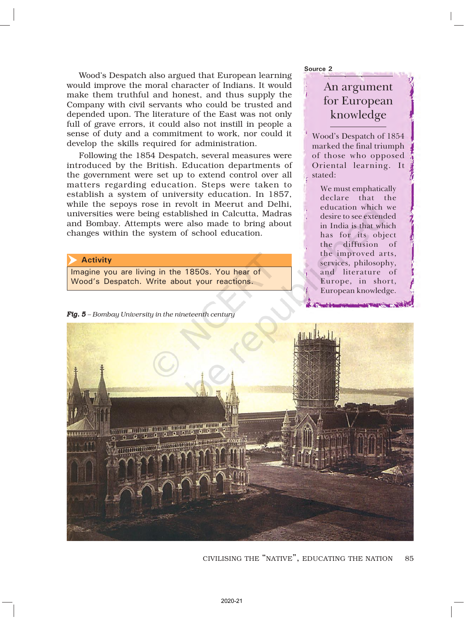Wood's Despatch also argued that European learning would improve the moral character of Indians. It would make them truthful and honest, and thus supply the Company with civil servants who could be trusted and depended upon. The literature of the East was not only full of grave errors, it could also not instill in people a sense of duty and a commitment to work, nor could it develop the skills required for administration.

Following the 1854 Despatch, several measures were introduced by the British. Education departments of the government were set up to extend control over all matters regarding education. Steps were taken to establish a system of university education. In 1857, while the sepoys rose in revolt in Meerut and Delhi, universities were being established in Calcutta, Madras and Bombay. Attempts were also made to bring about changes within the system of school education.

#### **Activity**  $\blacktriangleright$

Imagine you are living in the 1850s. You hear of Wood's Despatch. Write about your reactions.

*Fig. 5 – Bombay University in the nineteenth century*

Source 2

# An argument for European knowledge

Wood's Despatch of 1854 marked the final triumph of those who opposed Oriental learning. It stated:

We must emphatically declare that the education which we desire to see extended in India is that which has for its object the diffusion of the improved arts, services, philosophy, and literature of Europe, in short, European knowledge.



85 CIVILISING THE "NATIVE", EDUCATING THE NATION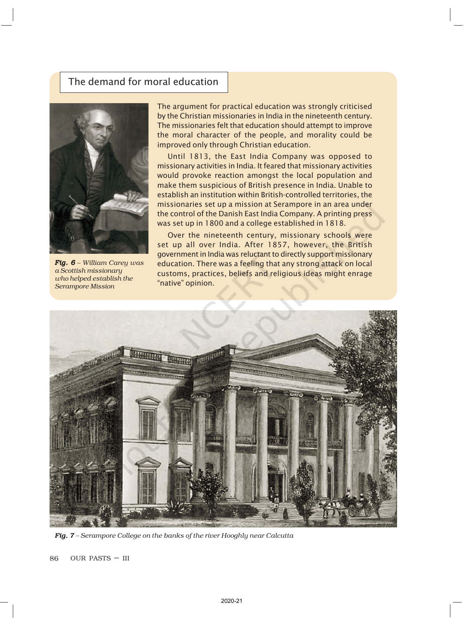# The demand for moral education



*Fig. 6 – William Carey was a Scottish missionary who helped establish the Serampore Mission*

The argument for practical education was strongly criticised by the Christian missionaries in India in the nineteenth century. The missionaries felt that education should attempt to improve the moral character of the people, and morality could be improved only through Christian education.

Until 1813, the East India Company was opposed to missionary activities in India. It feared that missionary activities would provoke reaction amongst the local population and make them suspicious of British presence in India. Unable to establish an institution within British-controlled territories, the missionaries set up a mission at Serampore in an area under the control of the Danish East India Company. A printing press was set up in 1800 and a college established in 1818.

Over the nineteenth century, missionary schools were set up all over India. After 1857, however, the British government in India was reluctant to directly support missionary education. There was a feeling that any strong attack on local customs, practices, beliefs and religious ideas might enrage "native" opinion.



*Fig. 7 – Serampore College on the banks of the river Hooghly near Calcutta*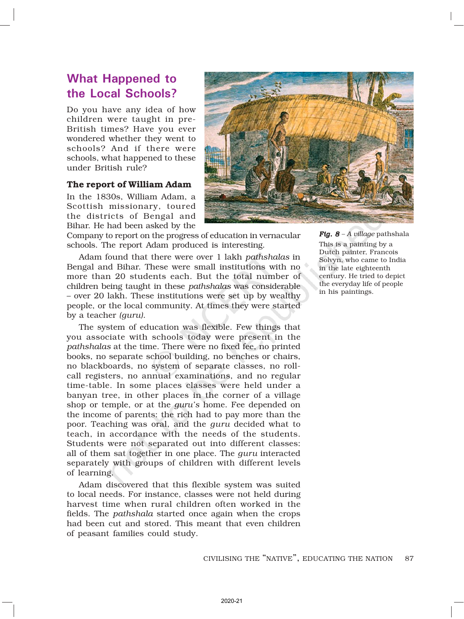# What Happened to the Local Schools?

Do you have any idea of how children were taught in pre-British times? Have you ever wondered whether they went to schools? And if there were schools, what happened to these under British rule?

### The report of William Adam

In the 1830s, William Adam, a Scottish missionary, toured the districts of Bengal and Bihar. He had been asked by the



Company to report on the progress of education in vernacular schools. The report Adam produced is interesting.

Adam found that there were over 1 lakh *pathshalas* in Bengal and Bihar. These were small institutions with no more than 20 students each. But the total number of children being taught in these *pathshalas* was considerable – over 20 lakh. These institutions were set up by wealthy people, or the local community. At times they were started by a teacher *(guru)*.

The system of education was flexible. Few things that you associate with schools today were present in the *pathshalas* at the time. There were no fixed fee, no printed books, no separate school building, no benches or chairs, no blackboards, no system of separate classes, no rollcall registers, no annual examinations, and no regular time-table. In some places classes were held under a banyan tree, in other places in the corner of a village shop or temple, or at the *guru's* home. Fee depended on the income of parents: the rich had to pay more than the poor. Teaching was oral, and the *guru* decided what to teach, in accordance with the needs of the students. Students were not separated out into different classes: all of them sat together in one place. The *guru* interacted separately with groups of children with different levels of learning.

Adam discovered that this flexible system was suited to local needs. For instance, classes were not held during harvest time when rural children often worked in the fields. The *pathshala* started once again when the crops had been cut and stored. This meant that even children of peasant families could study.

*Fig. 8 – A village* pathshala This is a painting by a Dutch painter, Francois Solvyn, who came to India in the late eighteenth century. He tried to depict the everyday life of people in his paintings.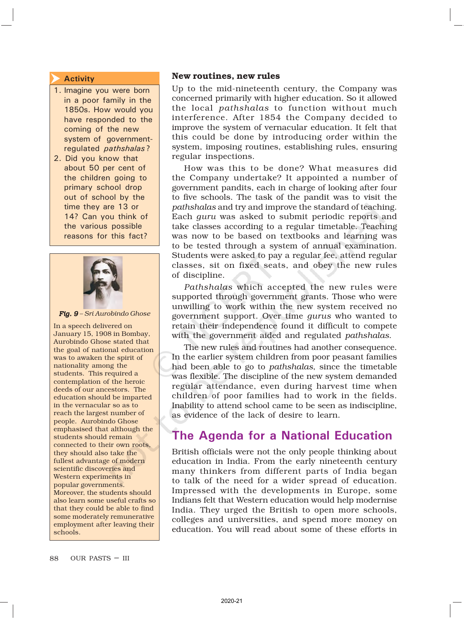#### Activity  $\overline{\blacktriangleright}$

- 1. Imagine you were born in a poor family in the 1850s. How would you have responded to the coming of the new system of governmentregulated pathshalas ?
- 2. Did you know that about 50 per cent of the children going to primary school drop out of school by the time they are 13 or 14? Can you think of the various possible reasons for this fact?



*Fig. 9 – Sri Aurobindo Ghose*

In a speech delivered on January 15, 1908 in Bombay, Aurobindo Ghose stated that the goal of national education was to awaken the spirit of nationality among the students. This required a contemplation of the heroic deeds of our ancestors. The education should be imparted in the vernacular so as to reach the largest number of people. Aurobindo Ghose emphasised that although the students should remain connected to their own roots, they should also take the fullest advantage of modern scientific discoveries and Western experiments in popular governments. Moreover, the students should also learn some useful crafts so that they could be able to find some moderately remunerative employment after leaving their schools.

### New routines, new rules

Up to the mid-nineteenth century, the Company was concerned primarily with higher education. So it allowed the local *pathshalas* to function without much interference. After 1854 the Company decided to improve the system of vernacular education. It felt that this could be done by introducing order within the system, imposing routines, establishing rules, ensuring regular inspections.

How was this to be done? What measures did the Company undertake? It appointed a number of government pandits, each in charge of looking after four to five schools. The task of the pandit was to visit the *pathshalas* and try and improve the standard of teaching. Each *guru* was asked to submit periodic reports and take classes according to a regular timetable. Teaching was now to be based on textbooks and learning was to be tested through a system of annual examination. Students were asked to pay a regular fee, attend regular classes, sit on fixed seats, and obey the new rules of discipline.

*Pathshalas* which accepted the new rules were supported through government grants. Those who were unwilling to work within the new system received no government support. Over time *gurus* who wanted to retain their independence found it difficult to compete with the government aided and regulated *pathshalas*.

The new rules and routines had another consequence. In the earlier system children from poor peasant families had been able to go to *pathshalas*, since the timetable was flexible. The discipline of the new system demanded regular attendance, even during harvest time when children of poor families had to work in the fields. Inability to attend school came to be seen as indiscipline, as evidence of the lack of desire to learn.

# The Agenda for a National Education

British officials were not the only people thinking about education in India. From the early nineteenth century many thinkers from different parts of India began to talk of the need for a wider spread of education. Impressed with the developments in Europe, some Indians felt that Western education would help modernise India. They urged the British to open more schools, colleges and universities, and spend more money on education. You will read about some of these efforts in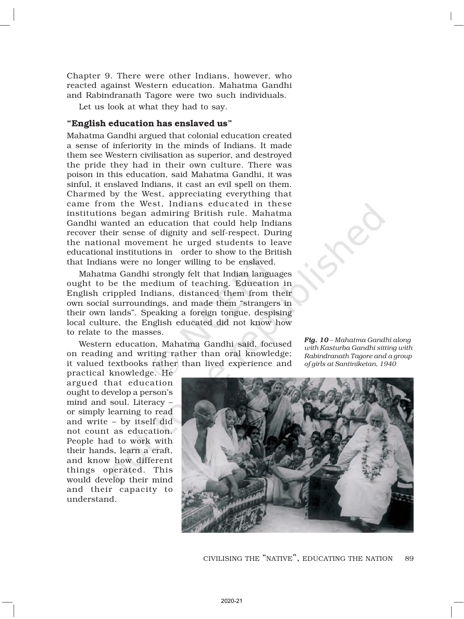Chapter 9. There were other Indians, however, who reacted against Western education. Mahatma Gandhi and Rabindranath Tagore were two such individuals.

Let us look at what they had to say.

### "English education has enslaved us"

Mahatma Gandhi argued that colonial education created a sense of inferiority in the minds of Indians. It made them see Western civilisation as superior, and destroyed the pride they had in their own culture. There was poison in this education, said Mahatma Gandhi, it was sinful, it enslaved Indians, it cast an evil spell on them. Charmed by the West, appreciating everything that came from the West, Indians educated in these institutions began admiring British rule. Mahatma Gandhi wanted an education that could help Indians recover their sense of dignity and self-respect. During the national movement he urged students to leave educational institutions in order to show to the British that Indians were no longer willing to be enslaved.

Mahatma Gandhi strongly felt that Indian languages ought to be the medium of teaching. Education in English crippled Indians, distanced them from their own social surroundings, and made them "strangers in their own lands". Speaking a foreign tongue, despising local culture, the English educated did not know how to relate to the masses.

Western education, Mahatma Gandhi said, focused on reading and writing rather than oral knowledge; it valued textbooks rather than lived experience and

*Fig. 10 10 – Mahatma Gandhi along with Kasturba Gandhi sitting with Rabindranath Tagore and a group of girls at Santiniketan, 1940*

practical knowledge. He argued that education ought to develop a person's mind and soul. Literacy – or simply learning to read and write – by itself did not count as education. People had to work with their hands, learn a craft, and know how different things operated. This would develop their mind and their capacity to understand.



89 CIVILISING THE "NATIVE", EDUCATING THE NATION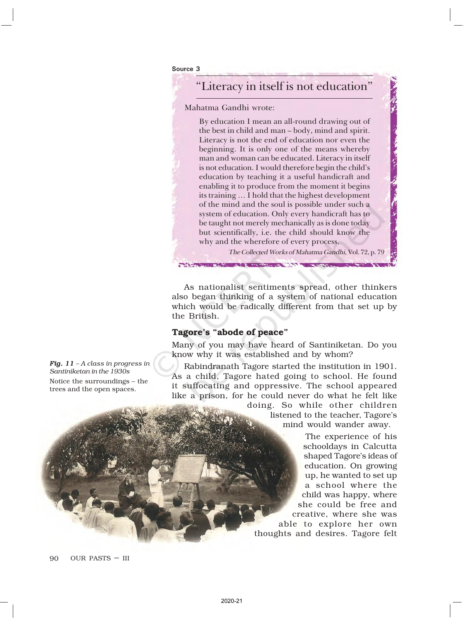Source 3

# "Literacy in itself is not education"

Mahatma Gandhi wrote:

By education I mean an all-round drawing out of the best in child and man – body, mind and spirit. Literacy is not the end of education nor even the beginning. It is only one of the means whereby man and woman can be educated. Literacy in itself is not education. I would therefore begin the child's education by teaching it a useful handicraft and enabling it to produce from the moment it begins its training … I hold that the highest development of the mind and the soul is possible under such a system of education. Only every handicraft has to be taught not merely mechanically as is done today but scientifically, i.e. the child should know the why and the wherefore of every process.

The Collected Works of Mahatma Gandhi, Vol. 72, p. 79

As nationalist sentiments spread, other thinkers also began thinking of a system of national education which would be radically different from that set up by the British.

**CONTRACTOR** 

### Tagore's "abode of peace"

Many of you may have heard of Santiniketan. Do you know why it was established and by whom?

Rabindranath Tagore started the institution in 1901. As a child, Tagore hated going to school. He found it suffocating and oppressive. The school appeared like a prison, for he could never do what he felt like

> doing. So while other children listened to the teacher, Tagore's

mind would wander away.

The experience of his schooldays in Calcutta shaped Tagore's ideas of education. On growing up, he wanted to set up a school where the child was happy, where she could be free and creative, where she was able to explore her own thoughts and desires. Tagore felt

*Fig. 11 - A class in progress in Santiniketan in the 1930s* Notice the surroundings – the trees and the open spaces.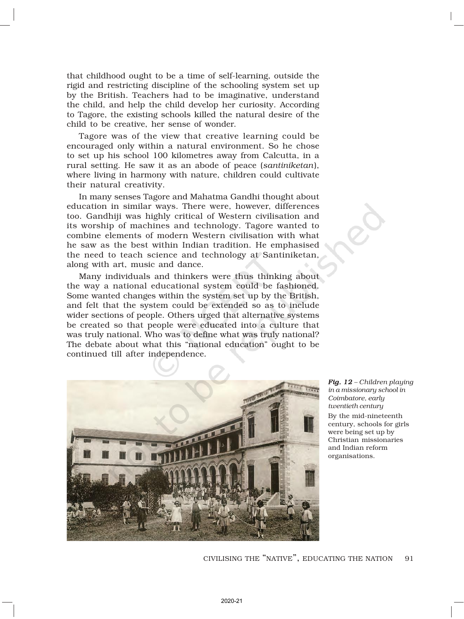that childhood ought to be a time of self-learning, outside the rigid and restricting discipline of the schooling system set up by the British. Teachers had to be imaginative, understand the child, and help the child develop her curiosity. According to Tagore, the existing schools killed the natural desire of the child to be creative, her sense of wonder.

Tagore was of the view that creative learning could be encouraged only within a natural environment. So he chose to set up his school 100 kilometres away from Calcutta, in a rural setting. He saw it as an abode of peace (*santiniketan*), where living in harmony with nature, children could cultivate their natural creativity.

In many senses Tagore and Mahatma Gandhi thought about education in similar ways. There were, however, differences too. Gandhiji was highly critical of Western civilisation and its worship of machines and technology. Tagore wanted to combine elements of modern Western civilisation with what he saw as the best within Indian tradition. He emphasised the need to teach science and technology at Santiniketan, along with art, music and dance.

Many individuals and thinkers were thus thinking about the way a national educational system could be fashioned. Some wanted changes within the system set up by the British, and felt that the system could be extended so as to include wider sections of people. Others urged that alternative systems be created so that people were educated into a culture that was truly national. Who was to define what was truly national? The debate about what this "national education" ought to be continued till after independence*.*



*Fig. 12 - Children playing in a missionary school in Coimbatore, early twentieth century* By the mid-nineteenth century, schools for girls were being set up by Christian missionaries and Indian reform organisations.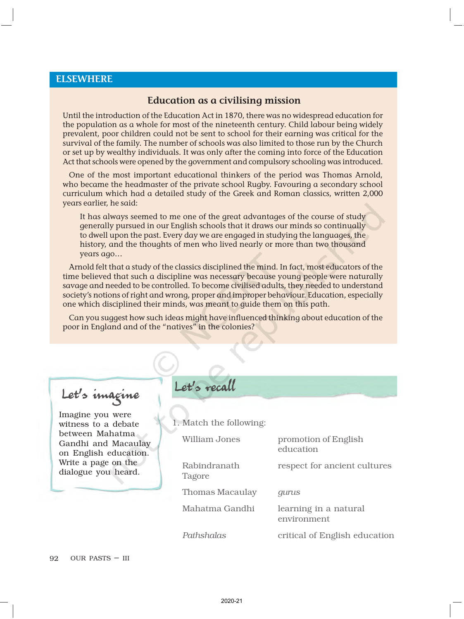### ELSEWHERE

### Education as a civilising mission

Until the introduction of the Education Act in 1870, there was no widespread education for the population as a whole for most of the nineteenth century. Child labour being widely prevalent, poor children could not be sent to school for their earning was critical for the survival of the family. The number of schools was also limited to those run by the Church or set up by wealthy individuals. It was only after the coming into force of the Education Act that schools were opened by the government and compulsory schooling was introduced.

One of the most important educational thinkers of the period was Thomas Arnold, who became the headmaster of the private school Rugby. Favouring a secondary school curriculum which had a detailed study of the Greek and Roman classics, written 2,000 years earlier, he said:

It has always seemed to me one of the great advantages of the course of study generally pursued in our English schools that it draws our minds so continually to dwell upon the past. Every day we are engaged in studying the languages, the history, and the thoughts of men who lived nearly or more than two thousand years ago…

Arnold felt that a study of the classics disciplined the mind. In fact, most educators of the time believed that such a discipline was necessary because young people were naturally savage and needed to be controlled. To become civilised adults, they needed to understand society's notions of right and wrong, proper and improper behaviour. Education, especially one which disciplined their minds, was meant to guide them on this path.

Can you suggest how such ideas might have influenced thinking about education of the poor in England and of the "natives" in the colonies?

# Let's imagine

Imagine you were witness to a debate between Mahatma Gandhi and Macaulay on English education. Write a page on the dialogue you heard.

# Let's recall

1. Match the following:

| <b>William Jones</b>   | promotion of English<br>education    |
|------------------------|--------------------------------------|
| Rabindranath<br>Tagore | respect for ancient cultures         |
| <b>Thomas Macaulay</b> | gurus                                |
| Mahatma Gandhi         | learning in a natural<br>environment |
| Pathshalas             | critical of English education        |